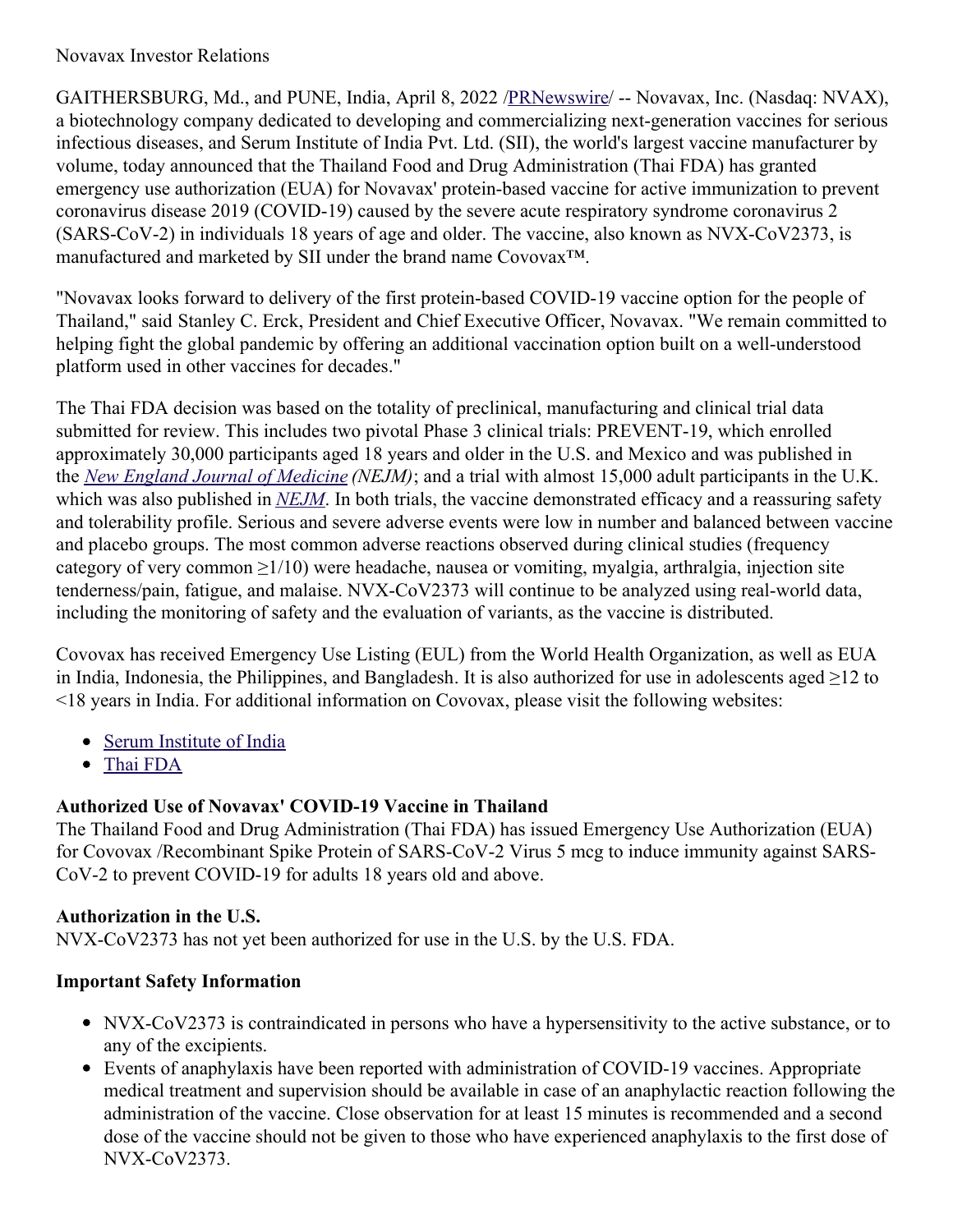### Novavax Investor Relations

GAITHERSBURG, Md., and PUNE, India, April 8, 2022 [/PRNewswire](http://www.prnewswire.com/)/ -- Novavax, Inc. (Nasdaq: NVAX), a biotechnology company dedicated to developing and commercializing next-generation vaccines for serious infectious diseases, and Serum Institute of India Pvt. Ltd. (SII), the world's largest vaccine manufacturer by volume, today announced that the Thailand Food and Drug Administration (Thai FDA) has granted emergency use authorization (EUA) for Novavax' protein-based vaccine for active immunization to prevent coronavirus disease 2019 (COVID-19) caused by the severe acute respiratory syndrome coronavirus 2 (SARS-CoV-2) in individuals 18 years of age and older. The vaccine, also known as NVX-CoV2373, is manufactured and marketed by SII under the brand name Covovax™.

"Novavax looks forward to delivery of the first protein-based COVID-19 vaccine option for the people of Thailand," said Stanley C. Erck, President and Chief Executive Officer, Novavax. "We remain committed to helping fight the global pandemic by offering an additional vaccination option built on a well-understood platform used in other vaccines for decades."

The Thai FDA decision was based on the totality of preclinical, manufacturing and clinical trial data submitted for review. This includes two pivotal Phase 3 clinical trials: PREVENT-19, which enrolled approximately 30,000 participants aged 18 years and older in the U.S. and Mexico and was published in the *New England Journal of [Medicine](https://c212.net/c/link/?t=0&l=en&o=3498964-1&h=2084624575&u=https%3A%2F%2Fc212.net%2Fc%2Flink%2F%3Ft%3D0%26l%3Den%26o%3D3407775-1%26h%3D907997649%26u%3Dhttps%253A%252F%252Fwww.nejm.org%252Fdoi%252Ffull%252F10.1056%252FNEJMoa2116185%253Fquery%253Dfeatured_home%26a%3DNew%2BEngland%2BJournal%2Bof%2BMedicine&a=New+England+Journal+of+Medicine) (NEJM)*; and a trial with almost 15,000 adult participants in the U.K. which was also published in *[NEJM](https://c212.net/c/link/?t=0&l=en&o=3498964-1&h=2761821903&u=https%3A%2F%2Fc212.net%2Fc%2Flink%2F%3Ft%3D0%26l%3Den%26o%3D3407775-1%26h%3D4200925079%26u%3Dhttps%253A%252F%252Fwww.nejm.org%252Fdoi%252Ffull%252F10.1056%252FNEJMoa2107659%26a%3DNEJM&a=NEJM)*. In both trials, the vaccine demonstrated efficacy and a reassuring safety and tolerability profile. Serious and severe adverse events were low in number and balanced between vaccine and placebo groups. The most common adverse reactions observed during clinical studies (frequency category of very common  $\geq 1/10$ ) were headache, nausea or vomiting, myalgia, arthralgia, injection site tenderness/pain, fatigue, and malaise. NVX-CoV2373 will continue to be analyzed using real-world data, including the monitoring of safety and the evaluation of variants, as the vaccine is distributed.

Covovax has received Emergency Use Listing (EUL) from the World Health Organization, as well as EUA in India, Indonesia, the Philippines, and Bangladesh. It is also authorized for use in adolescents aged ≥12 to <18 years in India. For additional information on Covovax, please visit the following websites:

- Serum [Institute](https://c212.net/c/link/?t=0&l=en&o=3498964-1&h=2541576635&u=https%3A%2F%2Fwww.seruminstitute.com%2FCOVOVAX.php&a=Serum+Institute+of+India) of India
- Thai [FDA](https://c212.net/c/link/?t=0&l=en&o=3498964-1&h=2146081690&u=https%3A%2F%2Fwww.fda.moph.go.th%2Fsites%2Ffda_en%2FPages%2FMain.aspx&a=Thai+FDA)

## **Authorized Use of Novavax' COVID-19 Vaccine in Thailand**

The Thailand Food and Drug Administration (Thai FDA) has issued Emergency Use Authorization (EUA) for Covovax /Recombinant Spike Protein of SARS-CoV-2 Virus 5 mcg to induce immunity against SARS-CoV-2 to prevent COVID-19 for adults 18 years old and above.

## **Authorization in the U.S.**

NVX-CoV2373 has not yet been authorized for use in the U.S. by the U.S. FDA.

## **Important Safety Information**

- NVX-CoV2373 is contraindicated in persons who have a hypersensitivity to the active substance, or to any of the excipients.
- Events of anaphylaxis have been reported with administration of COVID-19 vaccines. Appropriate medical treatment and supervision should be available in case of an anaphylactic reaction following the administration of the vaccine. Close observation for at least 15 minutes is recommended and a second dose of the vaccine should not be given to those who have experienced anaphylaxis to the first dose of NVX-CoV2373.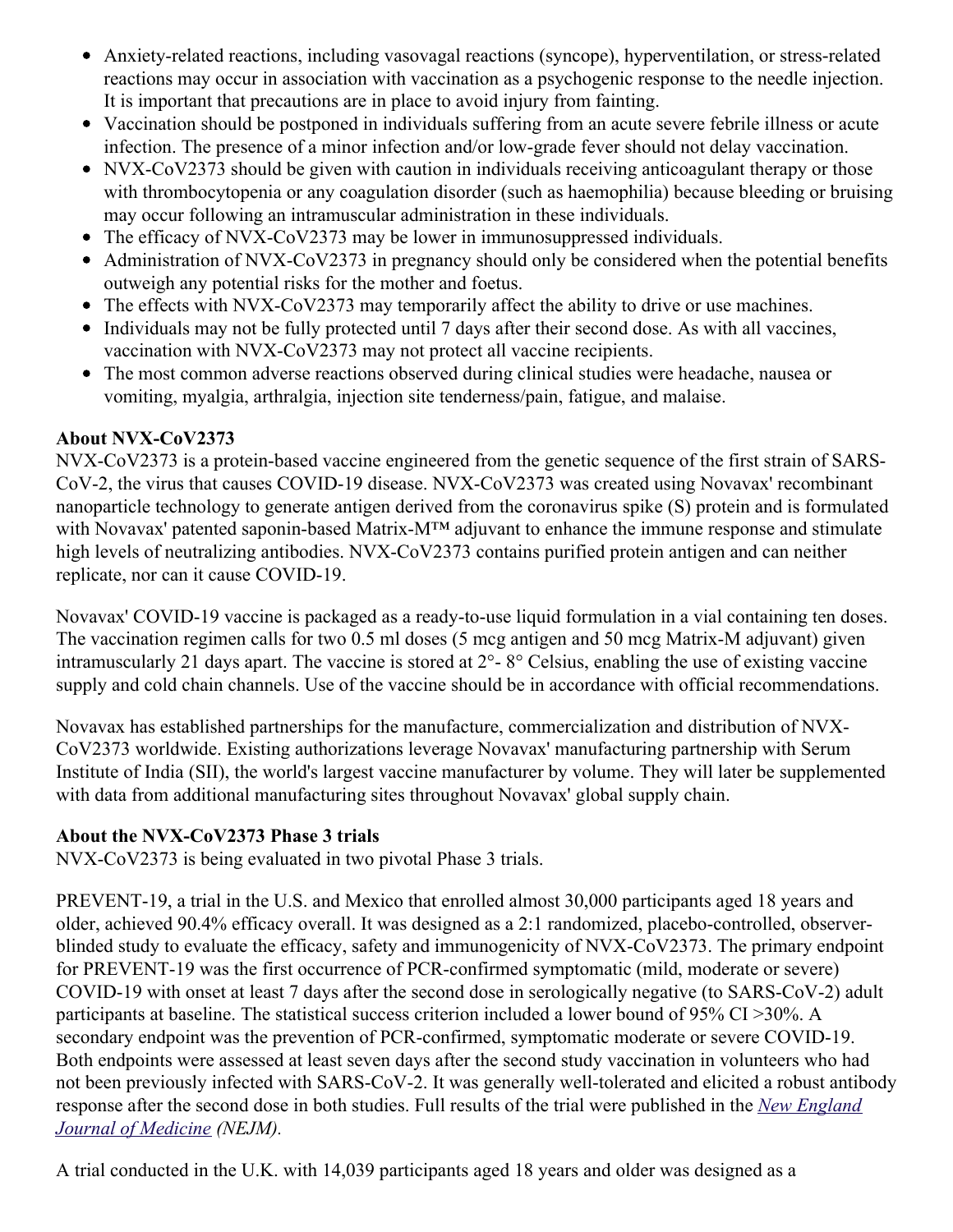- Anxiety-related reactions, including vasovagal reactions (syncope), hyperventilation, or stress-related reactions may occur in association with vaccination as a psychogenic response to the needle injection. It is important that precautions are in place to avoid injury from fainting.
- Vaccination should be postponed in individuals suffering from an acute severe febrile illness or acute infection. The presence of a minor infection and/or low-grade fever should not delay vaccination.
- NVX-CoV2373 should be given with caution in individuals receiving anticoagulant therapy or those with thrombocytopenia or any coagulation disorder (such as haemophilia) because bleeding or bruising may occur following an intramuscular administration in these individuals.
- The efficacy of NVX-CoV2373 may be lower in immunosuppressed individuals.
- Administration of NVX-CoV2373 in pregnancy should only be considered when the potential benefits  $\bullet$ outweigh any potential risks for the mother and foetus.
- The effects with NVX-CoV2373 may temporarily affect the ability to drive or use machines.
- Individuals may not be fully protected until 7 days after their second dose. As with all vaccines, vaccination with NVX-CoV2373 may not protect all vaccine recipients.
- The most common adverse reactions observed during clinical studies were headache, nausea or vomiting, myalgia, arthralgia, injection site tenderness/pain, fatigue, and malaise.

# **About NVX-CoV2373**

NVX-CoV2373 is a protein-based vaccine engineered from the genetic sequence of the first strain of SARS-CoV-2, the virus that causes COVID-19 disease. NVX-CoV2373 was created using Novavax' recombinant nanoparticle technology to generate antigen derived from the coronavirus spike (S) protein and is formulated with Novavax' patented saponin-based Matrix-M™ adjuvant to enhance the immune response and stimulate high levels of neutralizing antibodies. NVX-CoV2373 contains purified protein antigen and can neither replicate, nor can it cause COVID-19.

Novavax' COVID-19 vaccine is packaged as a ready-to-use liquid formulation in a vial containing ten doses. The vaccination regimen calls for two 0.5 ml doses (5 mcg antigen and 50 mcg Matrix-M adjuvant) given intramuscularly 21 days apart. The vaccine is stored at 2°- 8° Celsius, enabling the use of existing vaccine supply and cold chain channels. Use of the vaccine should be in accordance with official recommendations.

Novavax has established partnerships for the manufacture, commercialization and distribution of NVX-CoV2373 worldwide. Existing authorizations leverage Novavax' manufacturing partnership with Serum Institute of India (SII), the world's largest vaccine manufacturer by volume. They will later be supplemented with data from additional manufacturing sites throughout Novavax' global supply chain.

# **About the NVX-CoV2373 Phase 3 trials**

NVX-CoV2373 is being evaluated in two pivotal Phase 3 trials.

PREVENT-19, a trial in the U.S. and Mexico that enrolled almost 30,000 participants aged 18 years and older, achieved 90.4% efficacy overall. It was designed as a 2:1 randomized, placebo-controlled, observerblinded study to evaluate the efficacy, safety and immunogenicity of NVX-CoV2373. The primary endpoint for PREVENT-19 was the first occurrence of PCR-confirmed symptomatic (mild, moderate or severe) COVID-19 with onset at least 7 days after the second dose in serologically negative (to SARS-CoV-2) adult participants at baseline. The statistical success criterion included a lower bound of 95% CI >30%. A secondary endpoint was the prevention of PCR-confirmed, symptomatic moderate or severe COVID-19. Both endpoints were assessed at least seven days after the second study vaccination in volunteers who had not been previously infected with SARS-CoV-2. It was generally well-tolerated and elicited a robust antibody response after the second dose in both studies. Full results of the trial were [published](https://c212.net/c/link/?t=0&l=en&o=3498964-1&h=396751169&u=https%3A%2F%2Fc212.net%2Fc%2Flink%2F%3Ft%3D0%26l%3Den%26o%3D3440781-1%26h%3D467849857%26u%3Dhttps%253A%252F%252Fwww.nejm.org%252Fdoi%252Ffull%252F10.1056%252FNEJMoa2116185%253Fquery%253Dfeatured_home%26a%3DNew%2BEngland%2BJournal%2Bof%2BMedicine&a=New+England+Journal+of+Medicine) in the *New England Journal of Medicine (NEJM).*

A trial conducted in the U.K. with 14,039 participants aged 18 years and older was designed as a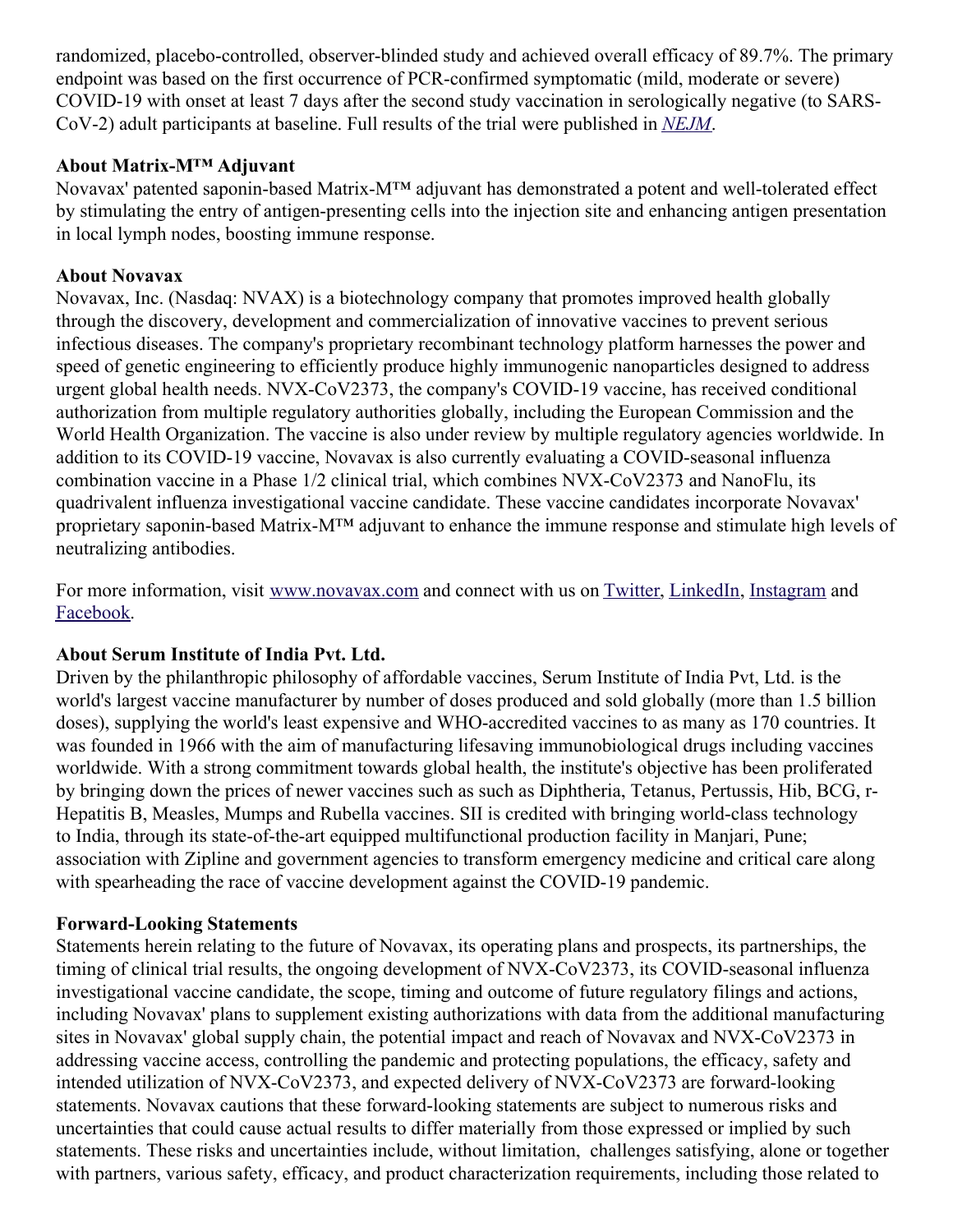randomized, placebo-controlled, observer-blinded study and achieved overall efficacy of 89.7%. The primary endpoint was based on the first occurrence of PCR-confirmed symptomatic (mild, moderate or severe) COVID-19 with onset at least 7 days after the second study vaccination in serologically negative (to SARS-CoV-2) adult participants at baseline. Full results of the trial were published in *[NEJM](https://c212.net/c/link/?t=0&l=en&o=3498964-1&h=4096744478&u=https%3A%2F%2Fc212.net%2Fc%2Flink%2F%3Ft%3D0%26l%3Den%26o%3D3440781-1%26h%3D3617137863%26u%3Dhttps%253A%252F%252Fwww.nejm.org%252Fdoi%252Ffull%252F10.1056%252FNEJMoa2107659%26a%3DNEJM&a=NEJM)*.

### **About Matrix-M™ Adjuvant**

Novavax' patented saponin-based Matrix-M™ adjuvant has demonstrated a potent and well-tolerated effect by stimulating the entry of antigen-presenting cells into the injection site and enhancing antigen presentation in local lymph nodes, boosting immune response.

## **About Novavax**

Novavax, Inc. (Nasdaq: NVAX) is a biotechnology company that promotes improved health globally through the discovery, development and commercialization of innovative vaccines to prevent serious infectious diseases. The company's proprietary recombinant technology platform harnesses the power and speed of genetic engineering to efficiently produce highly immunogenic nanoparticles designed to address urgent global health needs. NVX-CoV2373, the company's COVID-19 vaccine, has received conditional authorization from multiple regulatory authorities globally, including the European Commission and the World Health Organization. The vaccine is also under review by multiple regulatory agencies worldwide. In addition to its COVID-19 vaccine, Novavax is also currently evaluating a COVID-seasonal influenza combination vaccine in a Phase 1/2 clinical trial, which combines NVX-CoV2373 and NanoFlu, its quadrivalent influenza investigational vaccine candidate. These vaccine candidates incorporate Novavax' proprietary saponin-based Matrix-M™ adjuvant to enhance the immune response and stimulate high levels of neutralizing antibodies.

For more information, visit [www.novavax.com](https://c212.net/c/link/?t=0&l=en&o=3498964-1&h=2928630113&u=http%3A%2F%2Fwww.novavax.com%2F&a=www.novavax.com) and connect with us on [Twitter](https://c212.net/c/link/?t=0&l=en&o=3498964-1&h=1607791526&u=https%3A%2F%2Fc212.net%2Fc%2Flink%2F%3Ft%3D0%26l%3Den%26o%3D3399869-1%26h%3D2040794221%26u%3Dhttps%253A%252F%252Fc212.net%252Fc%252Flink%252F%253Ft%253D0%2526l%253Den%2526o%253D3260461-1%2526h%253D1316526774%2526u%253Dhttps%25253A%25252F%25252Fc212.net%25252Fc%25252Flink%25252F%25253Ft%25253D0%252526l%25253Den%252526o%25253D3158017-1%252526h%25253D500821283%252526u%25253Dhttps%2525253A%2525252F%2525252Ftwitter.com%2525252FNovavax%252526a%25253DTwitter%2526a%253DTwitter%26a%3DTwitter&a=Twitter), [LinkedIn](https://c212.net/c/link/?t=0&l=en&o=3498964-1&h=2445286233&u=https%3A%2F%2Fc212.net%2Fc%2Flink%2F%3Ft%3D0%26l%3Den%26o%3D3399869-1%26h%3D27315898%26u%3Dhttps%253A%252F%252Fc212.net%252Fc%252Flink%252F%253Ft%253D0%2526l%253Den%2526o%253D3260461-1%2526h%253D1508558197%2526u%253Dhttps%25253A%25252F%25252Fc212.net%25252Fc%25252Flink%25252F%25253Ft%25253D0%252526l%25253Den%252526o%25253D3158017-1%252526h%25253D3702938248%252526u%25253Dhttps%2525253A%2525252F%2525252Fwww.linkedin.com%2525252Fcompany%2525252Fnovavax%2525252F%252526a%25253DLinkedIn%2526a%253DLinkedIn%26a%3DLinkedIn&a=LinkedIn), [Instagram](https://c212.net/c/link/?t=0&l=en&o=3498964-1&h=3245433898&u=https%3A%2F%2Fc212.net%2Fc%2Flink%2F%3Ft%3D0%26l%3Den%26o%3D3399869-1%26h%3D2634683834%26u%3Dhttps%253A%252F%252Fc212.net%252Fc%252Flink%252F%253Ft%253D0%2526l%253Den%2526o%253D3367039-1%2526h%253D3348182013%2526u%253Dhttps%25253A%25252F%25252Fwww.instagram.com%25252Fnovavax%25252F%2526a%253DInstagram%26a%3DInstagram&a=Instagram) and [Facebook](https://c212.net/c/link/?t=0&l=en&o=3498964-1&h=3618191003&u=https%3A%2F%2Fc212.net%2Fc%2Flink%2F%3Ft%3D0%26l%3Den%26o%3D3399869-1%26h%3D1555903536%26u%3Dhttps%253A%252F%252Fwww.facebook.com%252FNovavax%252F%26a%3DFacebook&a=Facebook).

## **About Serum Institute of India Pvt. Ltd.**

Driven by the philanthropic philosophy of affordable vaccines, Serum Institute of India Pvt, Ltd. is the world's largest vaccine manufacturer by number of doses produced and sold globally (more than 1.5 billion doses), supplying the world's least expensive and WHO-accredited vaccines to as many as 170 countries. It was founded in 1966 with the aim of manufacturing lifesaving immunobiological drugs including vaccines worldwide. With a strong commitment towards global health, the institute's objective has been proliferated by bringing down the prices of newer vaccines such as such as Diphtheria, Tetanus, Pertussis, Hib, BCG, r-Hepatitis B, Measles, Mumps and Rubella vaccines. SII is credited with bringing world-class technology to India, through its state-of-the-art equipped multifunctional production facility in Manjari, Pune; association with Zipline and government agencies to transform emergency medicine and critical care along with spearheading the race of vaccine development against the COVID-19 pandemic.

#### **Forward-Looking Statements**

Statements herein relating to the future of Novavax, its operating plans and prospects, its partnerships, the timing of clinical trial results, the ongoing development of NVX-CoV2373, its COVID-seasonal influenza investigational vaccine candidate, the scope, timing and outcome of future regulatory filings and actions, including Novavax' plans to supplement existing authorizations with data from the additional manufacturing sites in Novavax' global supply chain, the potential impact and reach of Novavax and NVX-CoV2373 in addressing vaccine access, controlling the pandemic and protecting populations, the efficacy, safety and intended utilization of NVX-CoV2373, and expected delivery of NVX-CoV2373 are forward-looking statements. Novavax cautions that these forward-looking statements are subject to numerous risks and uncertainties that could cause actual results to differ materially from those expressed or implied by such statements. These risks and uncertainties include, without limitation, challenges satisfying, alone or together with partners, various safety, efficacy, and product characterization requirements, including those related to